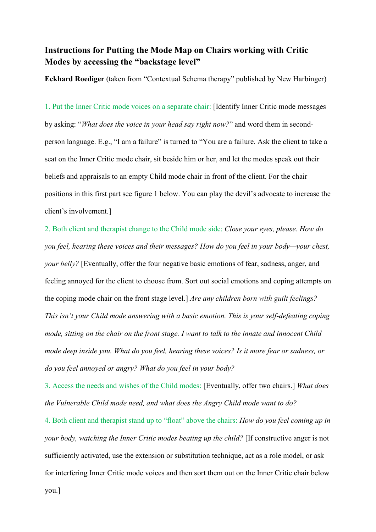## **Instructions for Putting the Mode Map on Chairs working with Critic Modes by accessing the "backstage level"**

**Eckhard Roediger** (taken from "Contextual Schema therapy" published by New Harbinger)

1. Put the Inner Critic mode voices on a separate chair: [Identify Inner Critic mode messages by asking: "*What does the voice in your head say right now?*" and word them in secondperson language. E.g., "I am a failure" is turned to "You are a failure. Ask the client to take a seat on the Inner Critic mode chair, sit beside him or her, and let the modes speak out their beliefs and appraisals to an empty Child mode chair in front of the client. For the chair positions in this first part see figure 1 below. You can play the devil's advocate to increase the client's involvement.]

2. Both client and therapist change to the Child mode side: *Close your eyes, please. How do you feel, hearing these voices and their messages? How do you feel in your body—your chest, your belly?* [Eventually, offer the four negative basic emotions of fear, sadness, anger, and feeling annoyed for the client to choose from. Sort out social emotions and coping attempts on the coping mode chair on the front stage level.] *Are any children born with guilt feelings? This isn't your Child mode answering with a basic emotion. This is your self-defeating coping mode, sitting on the chair on the front stage. I want to talk to the innate and innocent Child mode deep inside you. What do you feel, hearing these voices? Is it more fear or sadness, or do you feel annoyed or angry? What do you feel in your body?* 

3. Access the needs and wishes of the Child modes: [Eventually, offer two chairs.] *What does the Vulnerable Child mode need, and what does the Angry Child mode want to do?*

4. Both client and therapist stand up to "float" above the chairs: *How do you feel coming up in your body, watching the Inner Critic modes beating up the child?* [If constructive anger is not sufficiently activated, use the extension or substitution technique, act as a role model, or ask for interfering Inner Critic mode voices and then sort them out on the Inner Critic chair below

you.]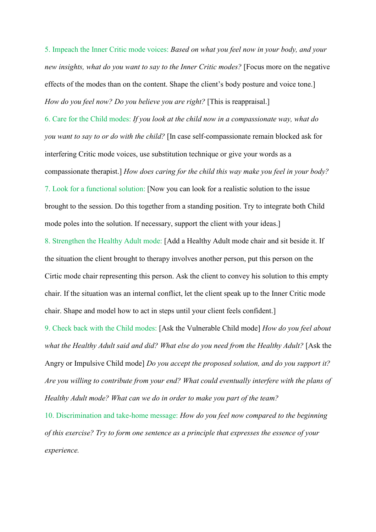5. Impeach the Inner Critic mode voices: *Based on what you feel now in your body, and your new insights, what do you want to say to the Inner Critic modes?* [Focus more on the negative effects of the modes than on the content. Shape the client's body posture and voice tone.] *How do you feel now? Do you believe you are right?* [This is reappraisal.]

6. Care for the Child modes: *If you look at the child now in a compassionate way, what do you want to say to or do with the child?* [In case self-compassionate remain blocked ask for interfering Critic mode voices, use substitution technique or give your words as a compassionate therapist.] *How does caring for the child this way make you feel in your body?* 7. Look for a functional solution: [Now you can look for a realistic solution to the issue brought to the session. Do this together from a standing position. Try to integrate both Child mode poles into the solution. If necessary, support the client with your ideas.]

8. Strengthen the Healthy Adult mode: [Add a Healthy Adult mode chair and sit beside it. If the situation the client brought to therapy involves another person, put this person on the Cirtic mode chair representing this person. Ask the client to convey his solution to this empty chair. If the situation was an internal conflict, let the client speak up to the Inner Critic mode chair. Shape and model how to act in steps until your client feels confident.]

9. Check back with the Child modes: [Ask the Vulnerable Child mode] *How do you feel about what the Healthy Adult said and did? What else do you need from the Healthy Adult?* [Ask the Angry or Impulsive Child mode] *Do you accept the proposed solution, and do you support it? Are you willing to contribute from your end? What could eventually interfere with the plans of Healthy Adult mode? What can we do in order to make you part of the team?* 

10. Discrimination and take-home message: *How do you feel now compared to the beginning of this exercise? Try to form one sentence as a principle that expresses the essence of your experience.*